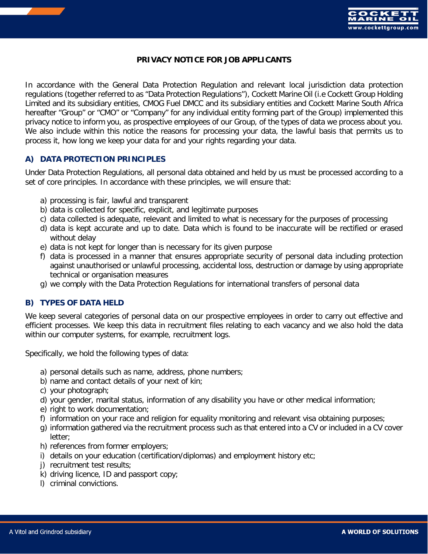

## **PRIVACY NOTICE FOR JOB APPLICANTS**

In accordance with the General Data Protection Regulation and relevant local jurisdiction data protection regulations (together referred to as "Data Protection Regulations"), Cockett Marine Oil (i.e Cockett Group Holding Limited and its subsidiary entities, CMOG Fuel DMCC and its subsidiary entities and Cockett Marine South Africa hereafter "Group" or "CMO" or "Company" for any individual entity forming part of the Group) implemented this privacy notice to inform you, as prospective employees of our Group, of the types of data we process about you. We also include within this notice the reasons for processing your data, the lawful basis that permits us to process it, how long we keep your data for and your rights regarding your data.

## **A) DATA PROTECTION PRINCIPLES**

Under Data Protection Regulations, all personal data obtained and held by us must be processed according to a set of core principles. In accordance with these principles, we will ensure that:

- a) processing is fair, lawful and transparent
- b) data is collected for specific, explicit, and legitimate purposes
- c) data collected is adequate, relevant and limited to what is necessary for the purposes of processing
- d) data is kept accurate and up to date. Data which is found to be inaccurate will be rectified or erased without delay
- e) data is not kept for longer than is necessary for its given purpose
- f) data is processed in a manner that ensures appropriate security of personal data including protection against unauthorised or unlawful processing, accidental loss, destruction or damage by using appropriate technical or organisation measures
- g) we comply with the Data Protection Regulations for international transfers of personal data

## **B) TYPES OF DATA HELD**

We keep several categories of personal data on our prospective employees in order to carry out effective and efficient processes. We keep this data in recruitment files relating to each vacancy and we also hold the data within our computer systems, for example, recruitment logs.

Specifically, we hold the following types of data:

- a) personal details such as name, address, phone numbers;
- b) name and contact details of your next of kin;
- c) your photograph;
- d) your gender, marital status, information of any disability you have or other medical information;
- e) right to work documentation;
- f) information on your race and religion for equality monitoring and relevant visa obtaining purposes;
- g) information gathered via the recruitment process such as that entered into a CV or included in a CV cover letter;
- h) references from former employers;
- i) details on your education (certification/diplomas) and employment history etc;
- j) recruitment test results;
- k) driving licence, ID and passport copy;
- l) criminal convictions.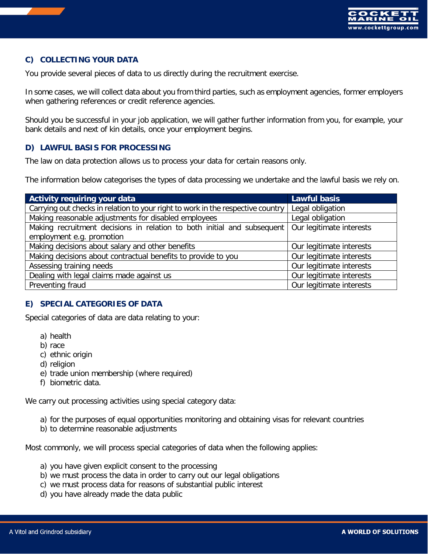

# **C) COLLECTING YOUR DATA**

You provide several pieces of data to us directly during the recruitment exercise.

In some cases, we will collect data about you from third parties, such as employment agencies, former employers when gathering references or credit reference agencies.

Should you be successful in your job application, we will gather further information from you, for example, your bank details and next of kin details, once your employment begins.

## **D) LAWFUL BASIS FOR PROCESSING**

The law on data protection allows us to process your data for certain reasons only.

The information below categorises the types of data processing we undertake and the lawful basis we rely on.

| <b>Activity requiring your data</b>                                             | <b>Lawful basis</b>      |
|---------------------------------------------------------------------------------|--------------------------|
| Carrying out checks in relation to your right to work in the respective country | Legal obligation         |
| Making reasonable adjustments for disabled employees                            | Legal obligation         |
| Making recruitment decisions in relation to both initial and subsequent         | Our legitimate interests |
| employment e.g. promotion                                                       |                          |
| Making decisions about salary and other benefits                                | Our legitimate interests |
| Making decisions about contractual benefits to provide to you                   | Our legitimate interests |
| Assessing training needs                                                        | Our legitimate interests |
| Dealing with legal claims made against us                                       | Our legitimate interests |
| Preventing fraud                                                                | Our legitimate interests |

#### **E) SPECIAL CATEGORIES OF DATA**

Special categories of data are data relating to your:

- a) health
- b) race
- c) ethnic origin
- d) religion
- e) trade union membership (where required)
- f) biometric data.

We carry out processing activities using special category data:

- a) for the purposes of equal opportunities monitoring and obtaining visas for relevant countries
- b) to determine reasonable adjustments

Most commonly, we will process special categories of data when the following applies:

- a) you have given explicit consent to the processing
- b) we must process the data in order to carry out our legal obligations
- c) we must process data for reasons of substantial public interest
- d) you have already made the data public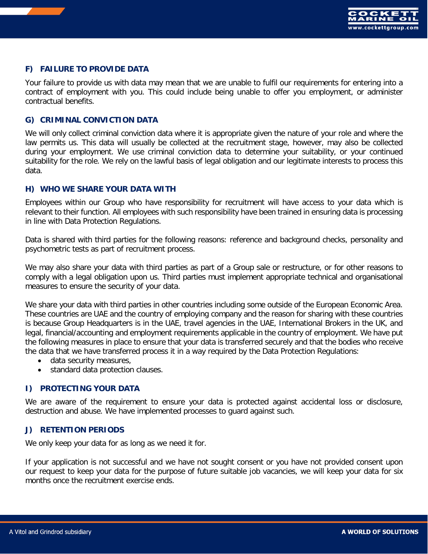

# **F) FAILURE TO PROVIDE DATA**

Your failure to provide us with data may mean that we are unable to fulfil our requirements for entering into a contract of employment with you. This could include being unable to offer you employment, or administer contractual benefits.

#### **G) CRIMINAL CONVICTION DATA**

We will only collect criminal conviction data where it is appropriate given the nature of your role and where the law permits us. This data will usually be collected at the recruitment stage, however, may also be collected during your employment. We use criminal conviction data to determine your suitability, or your continued suitability for the role. We rely on the lawful basis of legal obligation and our legitimate interests to process this data.

#### **H) WHO WE SHARE YOUR DATA WITH**

Employees within our Group who have responsibility for recruitment will have access to your data which is relevant to their function. All employees with such responsibility have been trained in ensuring data is processing in line with Data Protection Regulations.

Data is shared with third parties for the following reasons: reference and background checks, personality and psychometric tests as part of recruitment process.

We may also share your data with third parties as part of a Group sale or restructure, or for other reasons to comply with a legal obligation upon us. Third parties must implement appropriate technical and organisational measures to ensure the security of your data.

We share your data with third parties in other countries including some outside of the European Economic Area. These countries are UAE and the country of employing company and the reason for sharing with these countries is because Group Headquarters is in the UAE, travel agencies in the UAE, International Brokers in the UK, and legal, financial/accounting and employment requirements applicable in the country of employment. We have put the following measures in place to ensure that your data is transferred securely and that the bodies who receive the data that we have transferred process it in a way required by the Data Protection Regulations:

- data security measures,
- standard data protection clauses.

## **I) PROTECTING YOUR DATA**

We are aware of the requirement to ensure your data is protected against accidental loss or disclosure, destruction and abuse. We have implemented processes to guard against such.

#### **J) RETENTION PERIODS**

We only keep your data for as long as we need it for.

If your application is not successful and we have not sought consent or you have not provided consent upon our request to keep your data for the purpose of future suitable job vacancies, we will keep your data for six months once the recruitment exercise ends.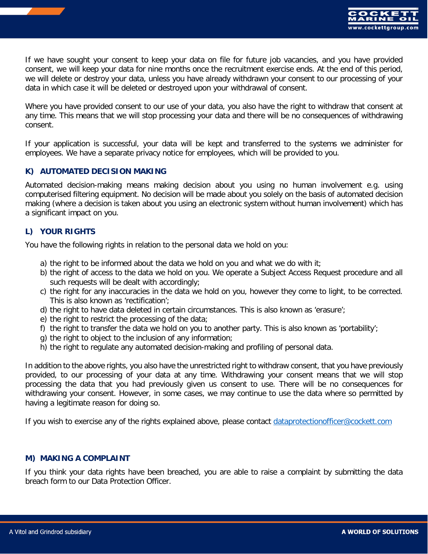

If we have sought your consent to keep your data on file for future job vacancies, and you have provided consent, we will keep your data for nine months once the recruitment exercise ends. At the end of this period, we will delete or destroy your data, unless you have already withdrawn your consent to our processing of your data in which case it will be deleted or destroyed upon your withdrawal of consent.

Where you have provided consent to our use of your data, you also have the right to withdraw that consent at any time. This means that we will stop processing your data and there will be no consequences of withdrawing consent.

If your application is successful, your data will be kept and transferred to the systems we administer for employees. We have a separate privacy notice for employees, which will be provided to you.

## **K) AUTOMATED DECISION MAKING**

Automated decision-making means making decision about you using no human involvement e.g. using computerised filtering equipment. No decision will be made about you solely on the basis of automated decision making (where a decision is taken about you using an electronic system without human involvement) which has a significant impact on you.

## **L) YOUR RIGHTS**

You have the following rights in relation to the personal data we hold on you:

- a) the right to be informed about the data we hold on you and what we do with it;
- b) the right of access to the data we hold on you. We operate a Subject Access Request procedure and all such requests will be dealt with accordingly;
- c) the right for any inaccuracies in the data we hold on you, however they come to light, to be corrected. This is also known as 'rectification';
- d) the right to have data deleted in certain circumstances. This is also known as 'erasure';
- e) the right to restrict the processing of the data;
- f) the right to transfer the data we hold on you to another party. This is also known as 'portability';
- g) the right to object to the inclusion of any information;
- h) the right to regulate any automated decision-making and profiling of personal data.

In addition to the above rights, you also have the unrestricted right to withdraw consent, that you have previously provided, to our processing of your data at any time. Withdrawing your consent means that we will stop processing the data that you had previously given us consent to use. There will be no consequences for withdrawing your consent. However, in some cases, we may continue to use the data where so permitted by having a legitimate reason for doing so.

If you wish to exercise any of the rights explained above, please contact [dataprotectionofficer@cockett.com](mailto:dataprotectionofficer@cockett.com)

#### **M) MAKING A COMPLAINT**

If you think your data rights have been breached, you are able to raise a complaint by submitting the data breach form to our Data Protection Officer.